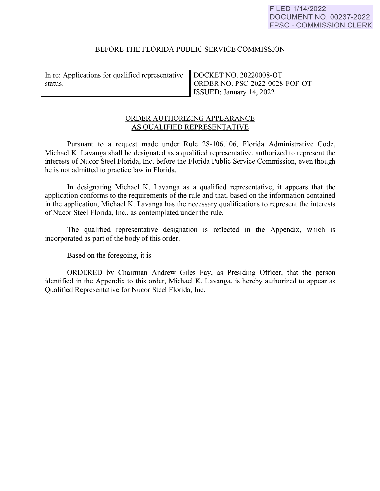## FILED 1/14/2022 DOCUMENT NO. 00237-2022 FPSC - COMMISSION CLERK

## BEFORE THE FLORIDA PUBLIC SERVICE COMMISSION

In re: Applications for qualified representative status. status.

DOCKET NO. 20220008-OT ORDER NO. PSC-2022-0028-FOF-OT ISSUED: January 14, 2022

# ORDER AUTHORIZING APPEARANCE AS QUALIFIED REPRESENTATIVE

Pursuant to a request made under Rule 28-106.106, Florida Administrative Code, Michael K. Lavanga shall be designated as a qualified representative, authorized to represent the interests of Nucor Steel Florida, Inc. before the Florida Public Service Commission, even though he is not admitted to practice law in Florida.

**In** designating Michael K. Lavanga as a qualified representative, it appears that the application conforms to the requirements of the rule and that, based on the information contained in the application, Michael K. Lavanga has the necessary qualifications to represent the interests of Nucor Steel Florida, Inc., as contemplated under the rule.

The qualified representative designation is reflected in the Appendix, which is incorporated as part of the body of this order.

Based on the foregoing, it is

ORDERED by Chairman Andrew Giles Fay, as Presiding Officer, that the person identified in the Appendix to this order, Michael K. Lavanga, is hereby authorized to appear as Qualified Representative for Nucor Steel Florida, Inc.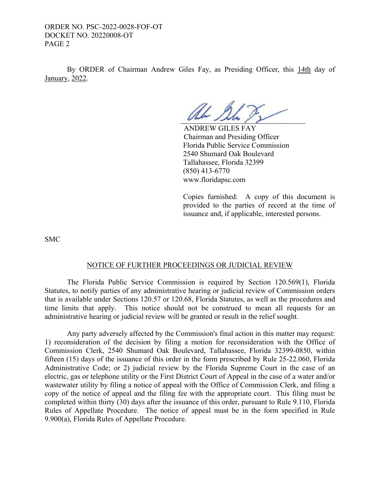ORDER NO. PSC-2022-0028-FOF-OT DOCKET NO. 20220008-OT PAGE 2

 By ORDER of Chairman Andrew Giles Fay, as Presiding Officer, this 14th day of January, 2022.

Ah 2

 ANDREW GILES FAY Chairman and Presiding Officer Florida Public Service Commission 2540 Shumard Oak Boulevard Tallahassee, Florida 32399 (850) 413-6770 www.floridapsc.com

Copies furnished: A copy of this document is provided to the parties of record at the time of issuance and, if applicable, interested persons.

SMC

#### NOTICE OF FURTHER PROCEEDINGS OR JUDICIAL REVIEW

 The Florida Public Service Commission is required by Section 120.569(1), Florida Statutes, to notify parties of any administrative hearing or judicial review of Commission orders that is available under Sections 120.57 or 120.68, Florida Statutes, as well as the procedures and time limits that apply. This notice should not be construed to mean all requests for an administrative hearing or judicial review will be granted or result in the relief sought.

 Any party adversely affected by the Commission's final action in this matter may request: 1) reconsideration of the decision by filing a motion for reconsideration with the Office of Commission Clerk, 2540 Shumard Oak Boulevard, Tallahassee, Florida 32399-0850, within fifteen (15) days of the issuance of this order in the form prescribed by Rule 25-22.060, Florida Administrative Code; or 2) judicial review by the Florida Supreme Court in the case of an electric, gas or telephone utility or the First District Court of Appeal in the case of a water and/or wastewater utility by filing a notice of appeal with the Office of Commission Clerk, and filing a copy of the notice of appeal and the filing fee with the appropriate court. This filing must be completed within thirty (30) days after the issuance of this order, pursuant to Rule 9.110, Florida Rules of Appellate Procedure. The notice of appeal must be in the form specified in Rule 9.900(a), Florida Rules of Appellate Procedure.